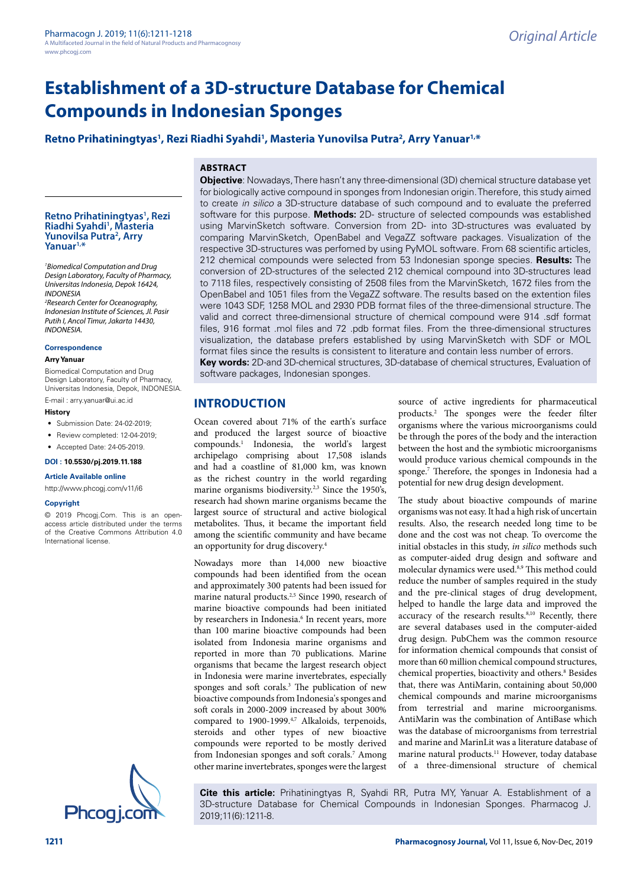# **Establishment of a 3D-structure Database for Chemical Compounds in Indonesian Sponges**

# **Retno Prihatiningtyas1 , Rezi Riadhi Syahdi1 , Masteria Yunovilsa Putra2 , Arry Yanuar1,\***

# **ABSTRACT**

#### **Retno Prihatiningtyas1 , Rezi Riadhi Syahdi1 , Masteria Yunovilsa Putra2 , Arry Yanuar1,\***

*1 Biomedical Computation and Drug Design Laboratory, Faculty of Pharmacy, Universitas Indonesia, Depok 16424, INDONESIA 2 Research Center for Oceanography, Indonesian Institute of Sciences, Jl. Pasir Putih I, Ancol Timur, Jakarta 14430, INDONESIA.*

#### **Correspondence**

#### **Arry Yanuar**

Biomedical Computation and Drug Design Laboratory, Faculty of Pharmacy, Universitas Indonesia, Depok, INDONESIA.

E-mail : arry.yanuar@ui.ac.id

- **History**
- Submission Date: 24-02-2019;
- Review completed: 12-04-2019;
- Accepted Date: 24-05-2019.

#### **DOI : 10.5530/pj.2019.11.188**

**Article Available online** 

<http://www.phcogj.com/v11/i6>

#### **Copyright**

© 2019 Phcogj.Com. This is an openaccess article distributed under the terms of the Creative Commons Attribution 4.0 International license.



**Objective**: Nowadays, There hasn't any three-dimensional (3D) chemical structure database yet for biologically active compound in sponges from Indonesian origin. Therefore, this study aimed to create *in silico* a 3D-structure database of such compound and to evaluate the preferred software for this purpose. **Methods:** 2D- structure of selected compounds was established using MarvinSketch software. Conversion from 2D- into 3D-structures was evaluated by comparing MarvinSketch, OpenBabel and VegaZZ software packages. Visualization of the respective 3D-structures was perfomed by using PyMOL software. From 68 scientific articles, 212 chemical compounds were selected from 53 Indonesian sponge species. **Results:** The conversion of 2D-structures of the selected 212 chemical compound into 3D-structures lead to 7118 files, respectively consisting of 2508 files from the MarvinSketch, 1672 files from the OpenBabel and 1051 files from the VegaZZ software. The results based on the extention files were 1043 SDF, 1258 MOL and 2930 PDB format files of the three-dimensional structure. The valid and correct three-dimensional structure of chemical compound were 914 .sdf format files, 916 format .mol files and 72 .pdb format files. From the three-dimensional structures visualization, the database prefers established by using MarvinSketch with SDF or MOL format files since the results is consistent to literature and contain less number of errors. **Key words:** 2D-and 3D-chemical structures, 3D-database of chemical structures, Evaluation of

software packages, Indonesian sponges.

# **INTRODUCTION**

Ocean covered about 71% of the earth's surface and produced the largest source of bioactive compounds.1 Indonesia, the world's largest archipelago comprising about 17,508 islands and had a coastline of 81,000 km, was known as the richest country in the world regarding marine organisms biodiversity.<sup>2,3</sup> Since the 1950's, research had shown marine organisms became the largest source of structural and active biological metabolites. Thus, it became the important field among the scientific community and have became an opportunity for drug discovery.4

Nowadays more than 14,000 new bioactive compounds had been identified from the ocean and approximately 300 patents had been issued for marine natural products.<sup>2,5</sup> Since 1990, research of marine bioactive compounds had been initiated by researchers in Indonesia.<sup>6</sup> In recent years, more than 100 marine bioactive compounds had been isolated from Indonesia marine organisms and reported in more than 70 publications. Marine organisms that became the largest research object in Indonesia were marine invertebrates, especially sponges and soft corals.<sup>3</sup> The publication of new bioactive compounds from Indonesia's sponges and soft corals in 2000-2009 increased by about 300% compared to 1900-1999.<sup>4,7</sup> Alkaloids, terpenoids, steroids and other types of new bioactive compounds were reported to be mostly derived from Indonesian sponges and soft corals.<sup>7</sup> Among other marine invertebrates, sponges were the largest

source of active ingredients for pharmaceutical products.2 The sponges were the feeder filter organisms where the various microorganisms could be through the pores of the body and the interaction between the host and the symbiotic microorganisms would produce various chemical compounds in the sponge.7 Therefore, the sponges in Indonesia had a potential for new drug design development.

The study about bioactive compounds of marine organisms was not easy. It had a high risk of uncertain results. Also, the research needed long time to be done and the cost was not cheap. To overcome the initial obstacles in this study, *in silico* methods such as computer-aided drug design and software and molecular dynamics were used.8,9 This method could reduce the number of samples required in the study and the pre-clinical stages of drug development, helped to handle the large data and improved the accuracy of the research results.<sup>8,10</sup> Recently, there are several databases used in the computer-aided drug design. PubChem was the common resource for information chemical compounds that consist of more than 60 million chemical compound structures, chemical properties, bioactivity and others.<sup>8</sup> Besides that, there was AntiMarin, containing about 50,000 chemical compounds and marine microorganisms from terrestrial and marine microorganisms. AntiMarin was the combination of AntiBase which was the database of microorganisms from terrestrial and marine and MarinLit was a literature database of marine natural products.<sup>11</sup> However, today database of a three-dimensional structure of chemical

**Cite this article:** Prihatiningtyas R, Syahdi RR, Putra MY, Yanuar A. Establishment of a 3D-structure Database for Chemical Compounds in Indonesian Sponges. Pharmacog J.<br>2019;11(6):1211-8.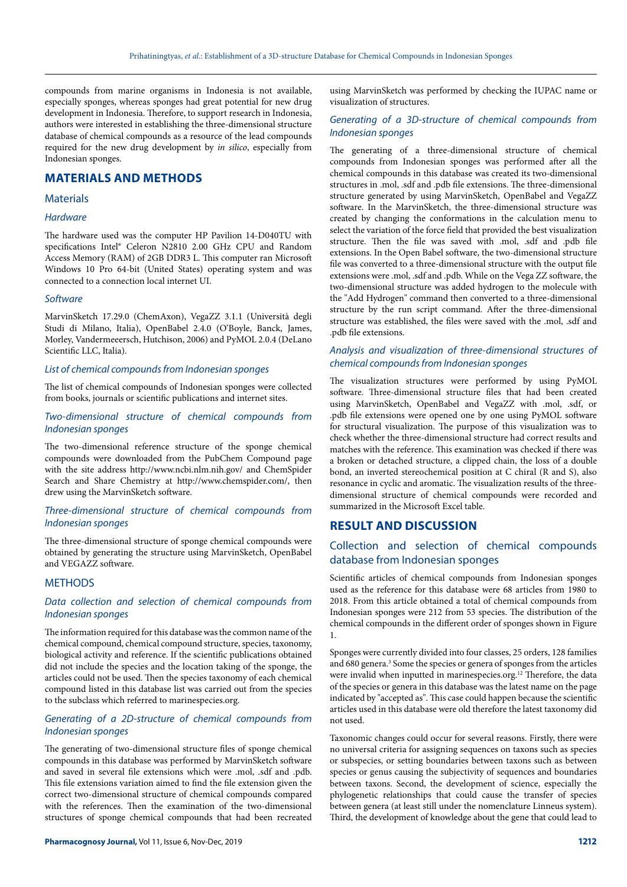compounds from marine organisms in Indonesia is not available, especially sponges, whereas sponges had great potential for new drug development in Indonesia. Therefore, to support research in Indonesia, authors were interested in establishing the three-dimensional structure database of chemical compounds as a resource of the lead compounds required for the new drug development by *in silico*, especially from Indonesian sponges.

# **MATERIALS AND METHODS**

#### **Materials**

#### *Hardware*

The hardware used was the computer HP Pavilion 14-D040TU with specifications Intel® Celeron N2810 2.00 GHz CPU and Random Access Memory (RAM) of 2GB DDR3 L. This computer ran Microsoft Windows 10 Pro 64-bit (United States) operating system and was connected to a connection local internet UI.

#### *Software*

MarvinSketch 17.29.0 (ChemAxon), VegaZZ 3.1.1 (Università degli Studi di Milano, Italia), OpenBabel 2.4.0 (O'Boyle, Banck, James, Morley, Vandermeeersch, Hutchison, 2006) and PyMOL 2.0.4 (DeLano Scientific LLC, Italia).

#### *List of chemical compounds from Indonesian sponges*

The list of chemical compounds of Indonesian sponges were collected from books, journals or scientific publications and internet sites.

## *Two-dimensional structure of chemical compounds from Indonesian sponges*

The two-dimensional reference structure of the sponge chemical compounds were downloaded from the PubChem Compound page with the site address http://www.ncbi.nlm.nih.gov/ and ChemSpider Search and Share Chemistry at http://www.chemspider.com/, then drew using the MarvinSketch software.

## *Three-dimensional structure of chemical compounds from Indonesian sponges*

The three-dimensional structure of sponge chemical compounds were obtained by generating the structure using MarvinSketch, OpenBabel and VEGAZZ software.

## **METHODS**

## *Data collection and selection of chemical compounds from Indonesian sponges*

The information required for this database was the common name of the chemical compound, chemical compound structure, species, taxonomy, biological activity and reference. If the scientific publications obtained did not include the species and the location taking of the sponge, the articles could not be used. Then the species taxonomy of each chemical compound listed in this database list was carried out from the species to the subclass which referred to marinespecies.org.

## *Generating of a 2D-structure of chemical compounds from Indonesian sponges*

The generating of two-dimensional structure files of sponge chemical compounds in this database was performed by MarvinSketch software and saved in several file extensions which were .mol, .sdf and .pdb. This file extensions variation aimed to find the file extension given the correct two-dimensional structure of chemical compounds compared with the references. Then the examination of the two-dimensional structures of sponge chemical compounds that had been recreated

using MarvinSketch was performed by checking the IUPAC name or visualization of structures.

## *Generating of a 3D-structure of chemical compounds from Indonesian sponges*

The generating of a three-dimensional structure of chemical compounds from Indonesian sponges was performed after all the chemical compounds in this database was created its two-dimensional structures in .mol, .sdf and .pdb file extensions. The three-dimensional structure generated by using MarvinSketch, OpenBabel and VegaZZ software. In the MarvinSketch, the three-dimensional structure was created by changing the conformations in the calculation menu to select the variation of the force field that provided the best visualization structure. Then the file was saved with .mol, .sdf and .pdb file extensions. In the Open Babel software, the two-dimensional structure file was converted to a three-dimensional structure with the output file extensions were .mol, .sdf and .pdb. While on the Vega ZZ software, the two-dimensional structure was added hydrogen to the molecule with the "Add Hydrogen" command then converted to a three-dimensional structure by the run script command. After the three-dimensional structure was established, the files were saved with the .mol, .sdf and .pdb file extensions.

## *Analysis and visualization of three-dimensional structures of chemical compounds from Indonesian sponges*

The visualization structures were performed by using PyMOL software. Three-dimensional structure files that had been created using MarvinSketch, OpenBabel and VegaZZ with .mol, .sdf, or .pdb file extensions were opened one by one using PyMOL software for structural visualization. The purpose of this visualization was to check whether the three-dimensional structure had correct results and matches with the reference. This examination was checked if there was a broken or detached structure, a clipped chain, the loss of a double bond, an inverted stereochemical position at C chiral (R and S), also resonance in cyclic and aromatic. The visualization results of the threedimensional structure of chemical compounds were recorded and summarized in the Microsoft Excel table.

## **RESULT AND DISCUSSION**

# Collection and selection of chemical compounds database from Indonesian sponges

Scientific articles of chemical compounds from Indonesian sponges used as the reference for this database were 68 articles from 1980 to 2018. From this article obtained a total of chemical compounds from Indonesian sponges were 212 from 53 species. The distribution of the chemical compounds in the different order of sponges shown in Figure 1.

Sponges were currently divided into four classes, 25 orders, 128 families and 680 genera.<sup>3</sup> Some the species or genera of sponges from the articles were invalid when inputted in marinespecies.org.<sup>12</sup> Therefore, the data of the species or genera in this database was the latest name on the page indicated by "accepted as". This case could happen because the scientific articles used in this database were old therefore the latest taxonomy did not used.

Taxonomic changes could occur for several reasons. Firstly, there were no universal criteria for assigning sequences on taxons such as species or subspecies, or setting boundaries between taxons such as between species or genus causing the subjectivity of sequences and boundaries between taxons. Second, the development of science, especially the phylogenetic relationships that could cause the transfer of species between genera (at least still under the nomenclature Linneus system). Third, the development of knowledge about the gene that could lead to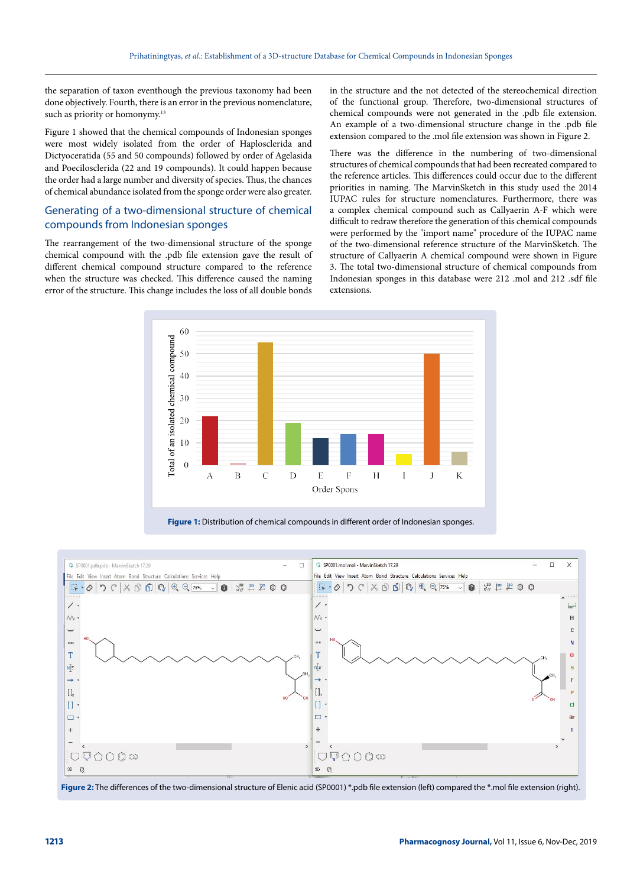the separation of taxon eventhough the previous taxonomy had been done objectively. Fourth, there is an error in the previous nomenclature, such as priority or homonymy.<sup>13</sup>

Figure 1 showed that the chemical compounds of Indonesian sponges were most widely isolated from the order of Haplosclerida and Dictyoceratida (55 and 50 compounds) followed by order of Agelasida and Poecilosclerida (22 and 19 compounds). It could happen because the order had a large number and diversity of species. Thus, the chances of chemical abundance isolated from the sponge order were also greater.

## Generating of a two-dimensional structure of chemical compounds from Indonesian sponges

The rearrangement of the two-dimensional structure of the sponge chemical compound with the .pdb file extension gave the result of different chemical compound structure compared to the reference when the structure was checked. This difference caused the naming error of the structure. This change includes the loss of all double bonds

in the structure and the not detected of the stereochemical direction of the functional group. Therefore, two-dimensional structures of chemical compounds were not generated in the .pdb file extension. An example of a two-dimensional structure change in the .pdb file extension compared to the .mol file extension was shown in Figure 2.

There was the difference in the numbering of two-dimensional structures of chemical compounds that had been recreated compared to the reference articles. This differences could occur due to the different priorities in naming. The MarvinSketch in this study used the 2014 IUPAC rules for structure nomenclatures. Furthermore, there was a complex chemical compound such as Callyaerin A-F which were difficult to redraw therefore the generation of this chemical compounds were performed by the "import name" procedure of the IUPAC name of the two-dimensional reference structure of the MarvinSketch. The structure of Callyaerin A chemical compound were shown in Figure 3. The total two-dimensional structure of chemical compounds from Indonesian sponges in this database were 212 .mol and 212 .sdf file extensions.



Figure 1: Distribution of chemical compounds in different order of Indonesian sponges.



**Figure 2:** The differences of the two-dimensional structure of Elenic acid (SP0001) \*.pdb file extension (left) compared the \*.mol file extension (right).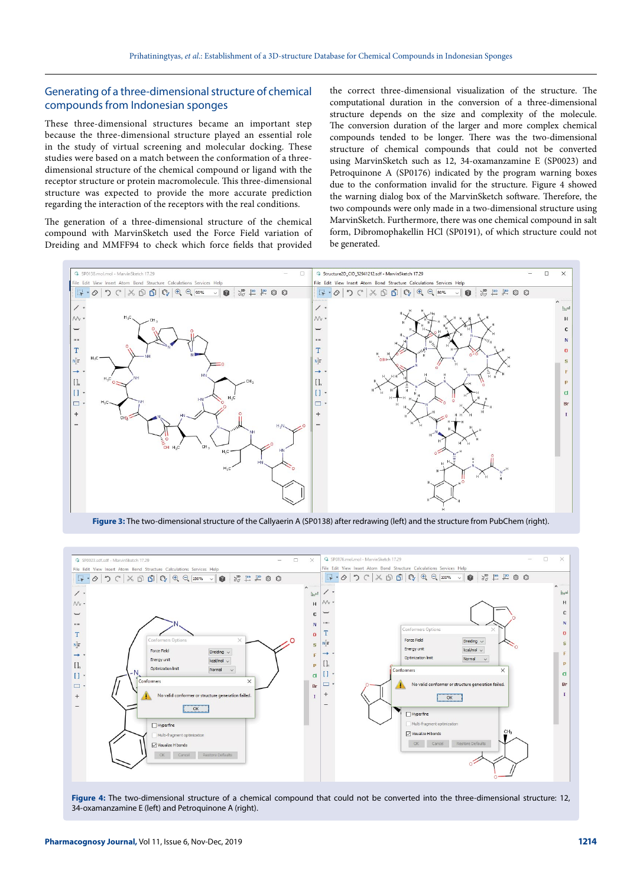## Generating of a three-dimensional structure of chemical compounds from Indonesian sponges

These three-dimensional structures became an important step because the three-dimensional structure played an essential role in the study of virtual screening and molecular docking. These studies were based on a match between the conformation of a threedimensional structure of the chemical compound or ligand with the receptor structure or protein macromolecule. This three-dimensional structure was expected to provide the more accurate prediction regarding the interaction of the receptors with the real conditions.

The generation of a three-dimensional structure of the chemical compound with MarvinSketch used the Force Field variation of Dreiding and MMFF94 to check which force fields that provided the correct three-dimensional visualization of the structure. The computational duration in the conversion of a three-dimensional structure depends on the size and complexity of the molecule. The conversion duration of the larger and more complex chemical compounds tended to be longer. There was the two-dimensional structure of chemical compounds that could not be converted using MarvinSketch such as 12, 34-oxamanzamine E (SP0023) and Petroquinone A (SP0176) indicated by the program warning boxes due to the conformation invalid for the structure. Figure 4 showed the warning dialog box of the MarvinSketch software. Therefore, the two compounds were only made in a two-dimensional structure using MarvinSketch. Furthermore, there was one chemical compound in salt form, Dibromophakellin HCl (SP0191), of which structure could not be generated.



**Figure 3:** The two-dimensional structure of the Callyaerin A (SP0138) after redrawing (left) and the structure from PubChem (right).



**Figure 4:** The two-dimensional structure of a chemical compound that could not be converted into the three-dimensional structure: 12, 34-oxamanzamine E (left) and Petroquinone A (right).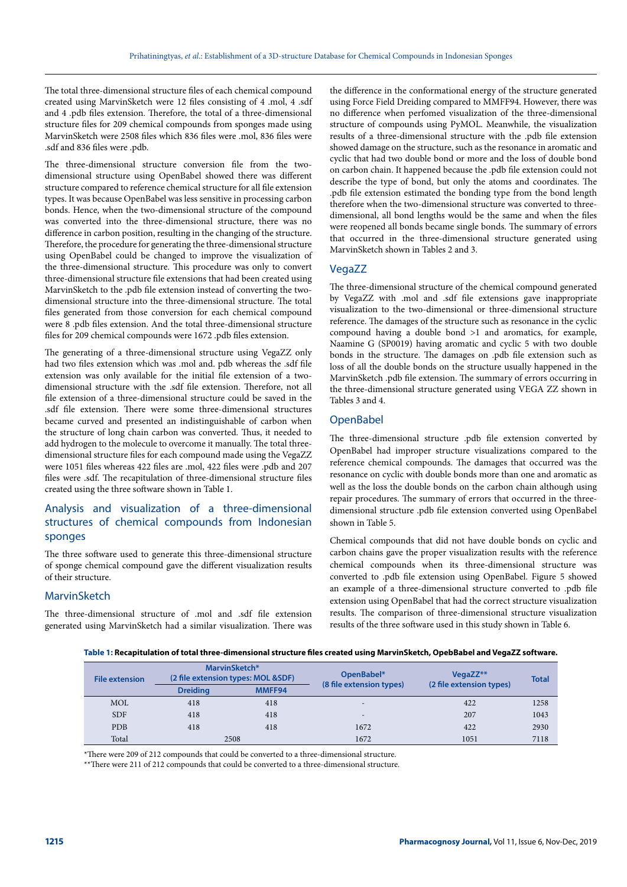The total three-dimensional structure files of each chemical compound created using MarvinSketch were 12 files consisting of 4 .mol, 4 .sdf and 4 .pdb files extension. Therefore, the total of a three-dimensional structure files for 209 chemical compounds from sponges made using MarvinSketch were 2508 files which 836 files were .mol, 836 files were .sdf and 836 files were .pdb.

The three-dimensional structure conversion file from the twodimensional structure using OpenBabel showed there was different structure compared to reference chemical structure for all file extension types. It was because OpenBabel was less sensitive in processing carbon bonds. Hence, when the two-dimensional structure of the compound was converted into the three-dimensional structure, there was no difference in carbon position, resulting in the changing of the structure. Therefore, the procedure for generating the three-dimensional structure using OpenBabel could be changed to improve the visualization of the three-dimensional structure. This procedure was only to convert three-dimensional structure file extensions that had been created using MarvinSketch to the .pdb file extension instead of converting the twodimensional structure into the three-dimensional structure. The total files generated from those conversion for each chemical compound were 8 .pdb files extension. And the total three-dimensional structure files for 209 chemical compounds were 1672 .pdb files extension.

The generating of a three-dimensional structure using VegaZZ only had two files extension which was .mol and. pdb whereas the .sdf file extension was only available for the initial file extension of a twodimensional structure with the .sdf file extension. Therefore, not all file extension of a three-dimensional structure could be saved in the .sdf file extension. There were some three-dimensional structures became curved and presented an indistinguishable of carbon when the structure of long chain carbon was converted. Thus, it needed to add hydrogen to the molecule to overcome it manually. The total threedimensional structure files for each compound made using the VegaZZ were 1051 files whereas 422 files are .mol, 422 files were .pdb and 207 files were .sdf. The recapitulation of three-dimensional structure files created using the three software shown in Table 1.

# Analysis and visualization of a three-dimensional structures of chemical compounds from Indonesian sponges

The three software used to generate this three-dimensional structure of sponge chemical compound gave the different visualization results of their structure.

## MarvinSketch

The three-dimensional structure of .mol and .sdf file extension generated using MarvinSketch had a similar visualization. There was

the difference in the conformational energy of the structure generated using Force Field Dreiding compared to MMFF94. However, there was no difference when perfomed visualization of the three-dimensional structure of compounds using PyMOL. Meanwhile, the visualization results of a three-dimensional structure with the .pdb file extension showed damage on the structure, such as the resonance in aromatic and cyclic that had two double bond or more and the loss of double bond on carbon chain. It happened because the .pdb file extension could not describe the type of bond, but only the atoms and coordinates. The .pdb file extension estimated the bonding type from the bond length therefore when the two-dimensional structure was converted to threedimensional, all bond lengths would be the same and when the files were reopened all bonds became single bonds. The summary of errors that occurred in the three-dimensional structure generated using MarvinSketch shown in Tables 2 and 3.

#### VegaZZ

The three-dimensional structure of the chemical compound generated by VegaZZ with .mol and .sdf file extensions gave inappropriate visualization to the two-dimensional or three-dimensional structure reference. The damages of the structure such as resonance in the cyclic compound having a double bond >1 and aromatics, for example, Naamine G (SP0019) having aromatic and cyclic 5 with two double bonds in the structure. The damages on .pdb file extension such as loss of all the double bonds on the structure usually happened in the MarvinSketch .pdb file extension. The summary of errors occurring in the three-dimensional structure generated using VEGA ZZ shown in Tables 3 and 4.

## OpenBabel

The three-dimensional structure .pdb file extension converted by OpenBabel had improper structure visualizations compared to the reference chemical compounds. The damages that occurred was the resonance on cyclic with double bonds more than one and aromatic as well as the loss the double bonds on the carbon chain although using repair procedures. The summary of errors that occurred in the threedimensional structure .pdb file extension converted using OpenBabel shown in Table 5.

Chemical compounds that did not have double bonds on cyclic and carbon chains gave the proper visualization results with the reference chemical compounds when its three-dimensional structure was converted to .pdb file extension using OpenBabel. Figure 5 showed an example of a three-dimensional structure converted to .pdb file extension using OpenBabel that had the correct structure visualization results. The comparison of three-dimensional structure visualization results of the three software used in this study shown in Table 6.

| Table 1: Recapitulation of total three-dimensional structure files created using MarvinSketch, OpebBabel and VegaZZ software. |  |  |  |  |  |  |  |  |
|-------------------------------------------------------------------------------------------------------------------------------|--|--|--|--|--|--|--|--|
|-------------------------------------------------------------------------------------------------------------------------------|--|--|--|--|--|--|--|--|

| <b>File extension</b> | MarvinSketch*<br>(2 file extension types: MOL &SDF) |        | OpenBabel*<br>(8 file extension types) | VegaZZ**                 | <b>Total</b> |
|-----------------------|-----------------------------------------------------|--------|----------------------------------------|--------------------------|--------------|
|                       | <b>Dreiding</b>                                     | MMFF94 |                                        | (2 file extension types) |              |
| <b>MOL</b>            | 418                                                 | 418    | $\qquad \qquad \blacksquare$           | 422                      | 1258         |
| <b>SDF</b>            | 418                                                 | 418    | $\overline{\phantom{a}}$               | 207                      | 1043         |
| <b>PDB</b>            | 418                                                 | 418    | 1672                                   | 422                      | 2930         |
| Total                 |                                                     | 2508   | 1672                                   | 1051                     | 7118         |

\*There were 209 of 212 compounds that could be converted to a three-dimensional structure.

\*\*There were 211 of 212 compounds that could be converted to a three-dimensional structure.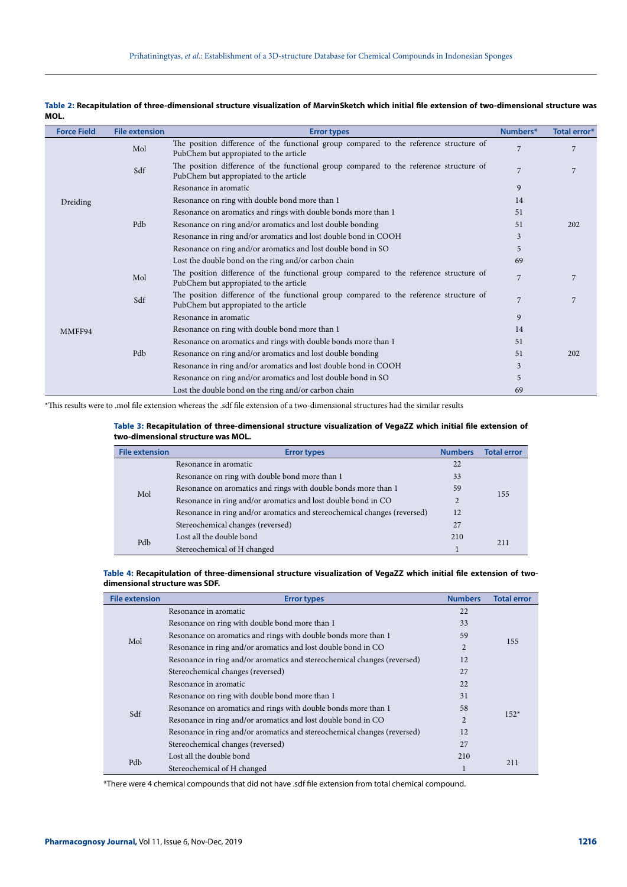| Table 2: Recapitulation of three-dimensional structure visualization of MarvinSketch which initial file extension of two-dimensional structure was |  |  |
|----------------------------------------------------------------------------------------------------------------------------------------------------|--|--|
| <b>MOL</b>                                                                                                                                         |  |  |

| <b>Force Field</b> | <b>File extension</b> | <b>Error types</b>                                                                                                               | Numbers*       | Total error* |
|--------------------|-----------------------|----------------------------------------------------------------------------------------------------------------------------------|----------------|--------------|
|                    | Mol                   | The position difference of the functional group compared to the reference structure of<br>PubChem but appropiated to the article | $\overline{7}$ | 7            |
|                    | Sdf                   | The position difference of the functional group compared to the reference structure of<br>PubChem but appropiated to the article | 7              |              |
|                    |                       | Resonance in aromatic                                                                                                            | 9              |              |
| Dreiding           |                       | Resonance on ring with double bond more than 1                                                                                   | 14             |              |
|                    |                       | Resonance on aromatics and rings with double bonds more than 1                                                                   | 51             |              |
|                    | Pdb                   | Resonance on ring and/or aromatics and lost double bonding                                                                       | 51             | 202          |
|                    |                       | Resonance in ring and/or aromatics and lost double bond in COOH                                                                  | 3              |              |
|                    |                       | Resonance on ring and/or aromatics and lost double bond in SO                                                                    | 5              |              |
|                    |                       | Lost the double bond on the ring and/or carbon chain                                                                             | 69             |              |
|                    | Mol                   | The position difference of the functional group compared to the reference structure of<br>PubChem but appropiated to the article | 7              |              |
|                    | Sdf                   | The position difference of the functional group compared to the reference structure of<br>PubChem but appropiated to the article | 7              |              |
|                    |                       | Resonance in aromatic                                                                                                            | 9              |              |
| MMFF94             |                       | Resonance on ring with double bond more than 1                                                                                   | 14             |              |
|                    |                       | Resonance on aromatics and rings with double bonds more than 1                                                                   | 51             |              |
|                    | Pdb                   | Resonance on ring and/or aromatics and lost double bonding                                                                       | 51             | 202          |
|                    |                       | Resonance in ring and/or aromatics and lost double bond in COOH                                                                  | 3              |              |
|                    |                       | Resonance on ring and/or aromatics and lost double bond in SO                                                                    | 5              |              |
|                    |                       | Lost the double bond on the ring and/or carbon chain                                                                             | 69             |              |

\*This results were to .mol file extension whereas the .sdf file extension of a two-dimensional structures had the similar results

#### **Table 3: Recapitulation of three-dimensional structure visualization of VegaZZ which initial file extension of two-dimensional structure was MOL.**

| <b>File extension</b> | <b>Error types</b>                                                       | <b>Numbers</b> | <b>Total error</b> |
|-----------------------|--------------------------------------------------------------------------|----------------|--------------------|
| Mol<br>Pdb            | Resonance in aromatic                                                    | 22             |                    |
|                       | Resonance on ring with double bond more than 1                           | 33             |                    |
|                       | Resonance on aromatics and rings with double bonds more than 1           | 59             |                    |
|                       | Resonance in ring and/or aromatics and lost double bond in CO            | 2              | 155                |
|                       | Resonance in ring and/or aromatics and stereochemical changes (reversed) | 12             |                    |
|                       | Stereochemical changes (reversed)                                        | 27             |                    |
|                       | Lost all the double bond                                                 | 210            |                    |
|                       | Stereochemical of H changed                                              |                | 211                |

#### **Table 4: Recapitulation of three-dimensional structure visualization of VegaZZ which initial file extension of twodimensional structure was SDF.**

| <b>File extension</b> | <b>Error types</b>                                                       | <b>Numbers</b> | <b>Total error</b> |  |
|-----------------------|--------------------------------------------------------------------------|----------------|--------------------|--|
|                       | Resonance in aromatic                                                    | 22             |                    |  |
|                       | Resonance on ring with double bond more than 1                           | 33             |                    |  |
| Mol                   | Resonance on aromatics and rings with double bonds more than 1           | 59             | 155                |  |
|                       | Resonance in ring and/or aromatics and lost double bond in CO.           | $\overline{c}$ |                    |  |
|                       | Resonance in ring and/or aromatics and stereochemical changes (reversed) | 12             |                    |  |
|                       | Stereochemical changes (reversed)                                        | 27             |                    |  |
|                       | Resonance in aromatic                                                    | 22             |                    |  |
|                       | Resonance on ring with double bond more than 1                           | 31             |                    |  |
|                       | Resonance on aromatics and rings with double bonds more than 1           | 58             |                    |  |
| Sdf                   | Resonance in ring and/or aromatics and lost double bond in CO            | $\overline{c}$ | $152*$             |  |
|                       | Resonance in ring and/or aromatics and stereochemical changes (reversed) | 12             |                    |  |
|                       | Stereochemical changes (reversed)                                        | 27             |                    |  |
| Pdb                   | Lost all the double bond                                                 | 210            |                    |  |
|                       | Stereochemical of H changed                                              | 1              | 211                |  |

\*There were 4 chemical compounds that did not have .sdf file extension from total chemical compound.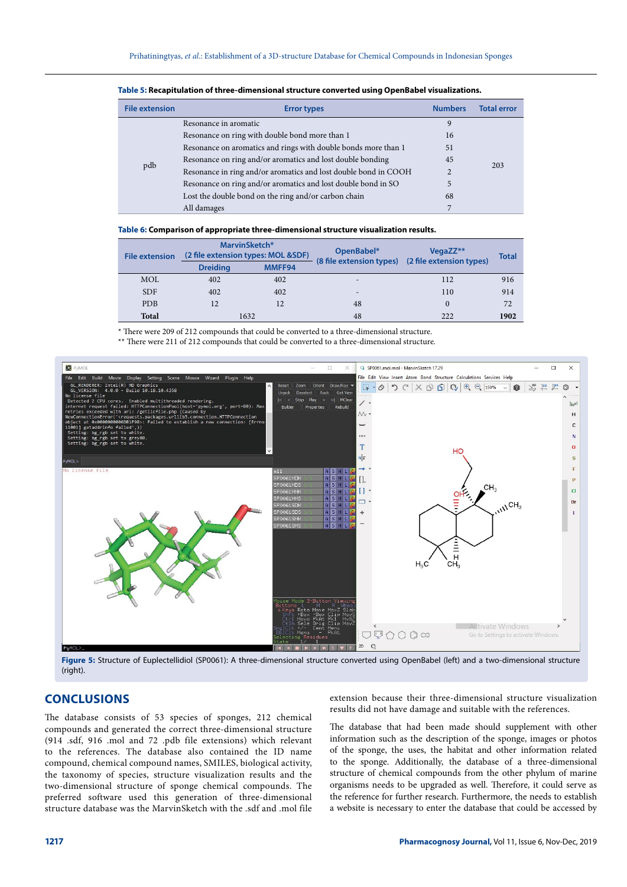| <b>File extension</b> | <b>Error types</b>                                              | <b>Numbers</b> | <b>Total error</b> |
|-----------------------|-----------------------------------------------------------------|----------------|--------------------|
|                       | Resonance in aromatic                                           | 9              |                    |
|                       | Resonance on ring with double bond more than 1                  | 16             |                    |
| pdb                   | Resonance on aromatics and rings with double bonds more than 1  | 51             |                    |
|                       | Resonance on ring and/or aromatics and lost double bonding      | 45             |                    |
|                       | Resonance in ring and/or aromatics and lost double bond in COOH | $\overline{c}$ | 203                |
|                       | Resonance on ring and/or aromatics and lost double bond in SO   | 5              |                    |
|                       | Lost the double bond on the ring and/or carbon chain            | 68             |                    |
|                       | All damages                                                     |                |                    |

| Table 5: Recapitulation of three-dimensional structure converted using OpenBabel visualizations. |  |  |  |
|--------------------------------------------------------------------------------------------------|--|--|--|
|--------------------------------------------------------------------------------------------------|--|--|--|

#### **Table 6: Comparison of appropriate three-dimensional structure visualization results.**

| <b>File extension</b> | MarvinSketch*<br>(2 file extension types: MOL &SDF) |        | OpenBabel*               | VegaZZ**                 | <b>Total</b> |
|-----------------------|-----------------------------------------------------|--------|--------------------------|--------------------------|--------------|
|                       | <b>Dreiding</b>                                     | MMFF94 | (8 file extension types) | (2 file extension types) |              |
| <b>MOL</b>            | 402                                                 | 402    | $\overline{\phantom{0}}$ | 112                      | 916          |
| <b>SDF</b>            | 402                                                 | 402    | $\overline{\phantom{a}}$ | 110                      | 914          |
| <b>PDB</b>            | 12                                                  | 12     | 48                       |                          | 72           |
| <b>Total</b>          |                                                     | 1632   | 48                       | 222                      | 1902         |

\* There were 209 of 212 compounds that could be converted to a three-dimensional structure.

\*\* There were 211 of 212 compounds that could be converted to a three-dimensional structure.



**Figure 5:** Structure of Euplectellidiol (SP0061): A three-dimensional structure converted using OpenBabel (left) and a two-dimensional structure (right).

# **CONCLUSIONS**

The database consists of 53 species of sponges, 212 chemical compounds and generated the correct three-dimensional structure (914 .sdf, 916 .mol and 72 .pdb file extensions) which relevant to the references. The database also contained the ID name compound, chemical compound names, SMILES, biological activity, the taxonomy of species, structure visualization results and the two-dimensional structure of sponge chemical compounds. The preferred software used this generation of three-dimensional structure database was the MarvinSketch with the .sdf and .mol file extension because their three-dimensional structure visualization results did not have damage and suitable with the references.

The database that had been made should supplement with other information such as the description of the sponge, images or photos of the sponge, the uses, the habitat and other information related to the sponge. Additionally, the database of a three-dimensional structure of chemical compounds from the other phylum of marine organisms needs to be upgraded as well. Therefore, it could serve as the reference for further research. Furthermore, the needs to establish a website is necessary to enter the database that could be accessed by